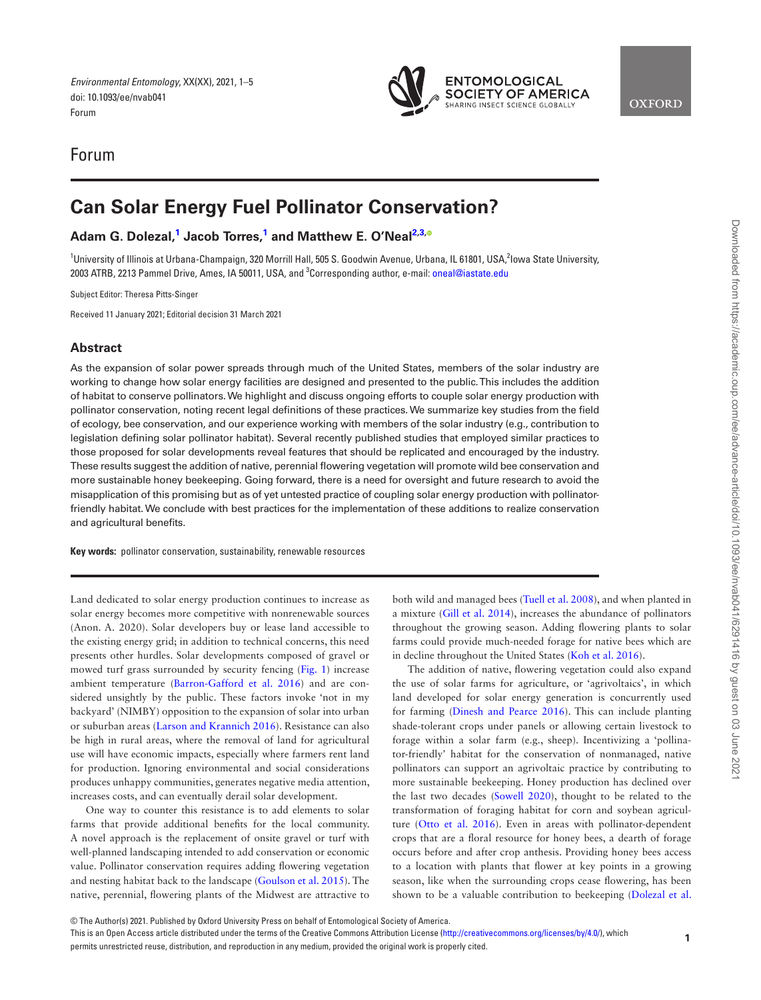# Forum

# **Can Solar Energy Fuel Pollinator Conservation?**

**Adam G. Dolezal, [1](#page-0-0) Jacob Torres, [1](#page-0-0) and Matthew E. O'Neal[2](#page-0-1)[,3](#page-0-2)[,](https://orcid.org/0000-0002-1642-6941)**

<span id="page-0-2"></span><span id="page-0-1"></span><span id="page-0-0"></span><sup>1</sup>University of Illinois at Urbana-Champaign, 320 Morrill Hall, 505 S. Goodwin Avenue, Urbana, IL 61801, USA,<sup>2</sup>lowa State University, 2003 ATRB, 2213 Pammel Drive, Ames, IA 50011, USA, and 3 Corresponding author, e-mail: [oneal@iastate.edu](mailto:oneal@iastate.edu?subject=)

Subject Editor: Theresa Pitts-Singer

Received 11 January 2021; Editorial decision 31 March 2021

#### **Abstract**

As the expansion of solar power spreads through much of the United States, members of the solar industry are working to change how solar energy facilities are designed and presented to the public. This includes the addition of habitat to conserve pollinators. We highlight and discuss ongoing efforts to couple solar energy production with pollinator conservation, noting recent legal definitions of these practices. We summarize key studies from the field of ecology, bee conservation, and our experience working with members of the solar industry (e.g., contribution to legislation defining solar pollinator habitat). Several recently published studies that employed similar practices to those proposed for solar developments reveal features that should be replicated and encouraged by the industry. These results suggest the addition of native, perennial flowering vegetation will promote wild bee conservation and more sustainable honey beekeeping. Going forward, there is a need for oversight and future research to avoid the misapplication of this promising but as of yet untested practice of coupling solar energy production with pollinatorfriendly habitat. We conclude with best practices for the implementation of these additions to realize conservation and agricultural benefits.

**Key words:** pollinator conservation, sustainability, renewable resources

Land dedicated to solar energy production continues to increase as solar energy becomes more competitive with nonrenewable sources (Anon. A. 2020). Solar developers buy or lease land accessible to the existing energy grid; in addition to technical concerns, this need presents other hurdles. Solar developments composed of gravel or mowed turf grass surrounded by security fencing [\(Fig. 1\)](#page-1-0) increase ambient temperature [\(Barron-Gafford et al. 2016](#page-4-0)) and are considered unsightly by the public. These factors invoke 'not in my backyard' (NIMBY) opposition to the expansion of solar into urban or suburban areas [\(Larson and Krannich 2016\)](#page-4-1). Resistance can also be high in rural areas, where the removal of land for agricultural use will have economic impacts, especially where farmers rent land for production. Ignoring environmental and social considerations produces unhappy communities, generates negative media attention, increases costs, and can eventually derail solar development.

One way to counter this resistance is to add elements to solar farms that provide additional benefits for the local community. A novel approach is the replacement of onsite gravel or turf with well-planned landscaping intended to add conservation or economic value. Pollinator conservation requires adding flowering vegetation and nesting habitat back to the landscape ([Goulson et al. 2015](#page-4-2)). The native, perennial, flowering plants of the Midwest are attractive to

both wild and managed bees [\(Tuell et al. 2008\)](#page-4-3), and when planted in a mixture [\(Gill et al. 2014\)](#page-4-4), increases the abundance of pollinators throughout the growing season. Adding flowering plants to solar farms could provide much-needed forage for native bees which are in decline throughout the United States ([Koh et al. 2016](#page-4-5)).

**ENTOMOLOGICAL SOCIETY OF AMERICA** 

SHARING INSECT SCIENCE GLOBALLY

**OXFORD** 

The addition of native, flowering vegetation could also expand the use of solar farms for agriculture, or 'agrivoltaics', in which land developed for solar energy generation is concurrently used for farming [\(Dinesh and Pearce 2016\)](#page-4-6). This can include planting shade-tolerant crops under panels or allowing certain livestock to forage within a solar farm (e.g., sheep). Incentivizing a 'pollinator-friendly' habitat for the conservation of nonmanaged, native pollinators can support an agrivoltaic practice by contributing to more sustainable beekeeping. Honey production has declined over the last two decades ([Sowell 2020](#page-4-7)), thought to be related to the transformation of foraging habitat for corn and soybean agriculture [\(Otto et al. 2016\)](#page-4-8). Even in areas with pollinator-dependent crops that are a floral resource for honey bees, a dearth of forage occurs before and after crop anthesis. Providing honey bees access to a location with plants that flower at key points in a growing season, like when the surrounding crops cease flowering, has been shown to be a valuable contribution to beekeeping [\(Dolezal et al.](#page-4-9)



This is an Open Access article distributed under the terms of the Creative Commons Attribution License ([http://creativecommons.org/licenses/by/4.0/\)](http://creativecommons.org/licenses/by/4.0/), which permits unrestricted reuse, distribution, and reproduction in any medium, provided the original work is properly cited.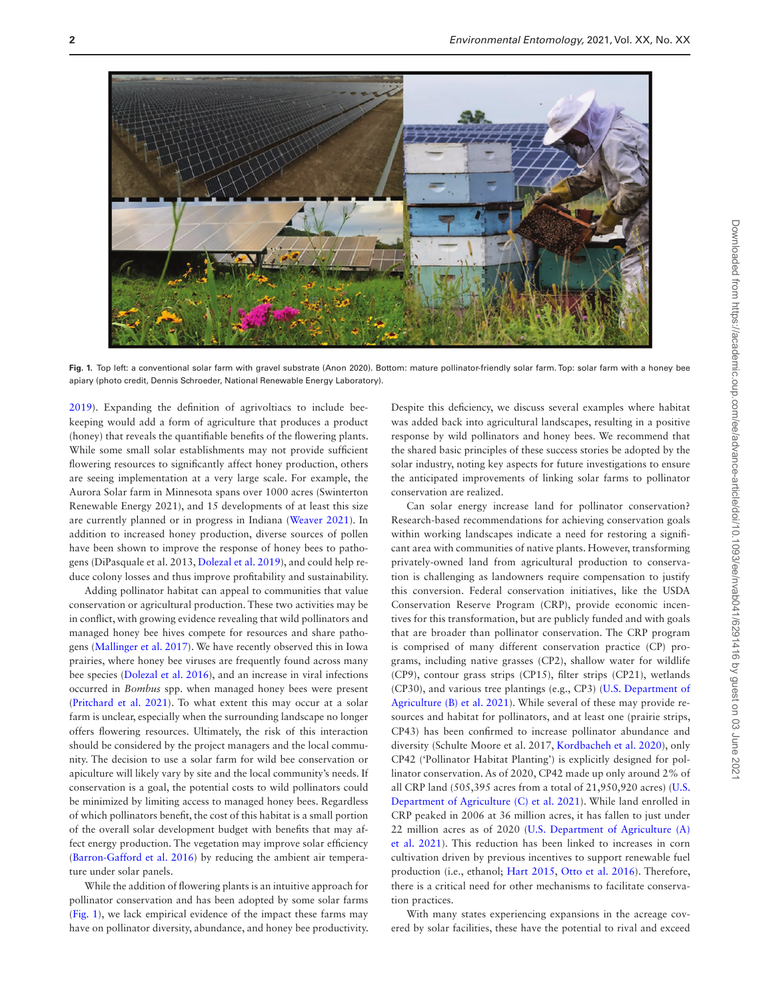

Fig. 1. Top left: a conventional solar farm with gravel substrate (Anon 2020). Bottom: mature pollinator-friendly solar farm. Top: solar farm with a honey bee apiary (photo credit, Dennis Schroeder, National Renewable Energy Laboratory).

<span id="page-1-0"></span>[2019](#page-4-9)). Expanding the definition of agrivoltiacs to include beekeeping would add a form of agriculture that produces a product (honey) that reveals the quantifiable benefits of the flowering plants. While some small solar establishments may not provide sufficient flowering resources to significantly affect honey production, others are seeing implementation at a very large scale. For example, the Aurora Solar farm in Minnesota spans over 1000 acres (Swinterton Renewable Energy 2021), and 15 developments of at least this size are currently planned or in progress in Indiana ([Weaver 2021](#page-4-10)). In addition to increased honey production, diverse sources of pollen have been shown to improve the response of honey bees to pathogens (DiPasquale et al. 2013, [Dolezal et al. 2019\)](#page-4-9), and could help reduce colony losses and thus improve profitability and sustainability.

Adding pollinator habitat can appeal to communities that value conservation or agricultural production. These two activities may be in conflict, with growing evidence revealing that wild pollinators and managed honey bee hives compete for resources and share pathogens [\(Mallinger et al. 2017\)](#page-4-11). We have recently observed this in Iowa prairies, where honey bee viruses are frequently found across many bee species [\(Dolezal et al. 2016](#page-4-11)), and an increase in viral infections occurred in *Bombus* spp. when managed honey bees were present ([Pritchard et al. 2021](#page-4-12)). To what extent this may occur at a solar farm is unclear, especially when the surrounding landscape no longer offers flowering resources. Ultimately, the risk of this interaction should be considered by the project managers and the local community. The decision to use a solar farm for wild bee conservation or apiculture will likely vary by site and the local community's needs. If conservation is a goal, the potential costs to wild pollinators could be minimized by limiting access to managed honey bees. Regardless of which pollinators benefit, the cost of this habitat is a small portion of the overall solar development budget with benefits that may affect energy production. The vegetation may improve solar efficiency ([Barron-Gafford et al. 2016\)](#page-4-0) by reducing the ambient air temperature under solar panels.

While the addition of flowering plants is an intuitive approach for pollinator conservation and has been adopted by some solar farms ([Fig. 1\)](#page-1-0), we lack empirical evidence of the impact these farms may have on pollinator diversity, abundance, and honey bee productivity. Despite this deficiency, we discuss several examples where habitat was added back into agricultural landscapes, resulting in a positive response by wild pollinators and honey bees. We recommend that the shared basic principles of these success stories be adopted by the solar industry, noting key aspects for future investigations to ensure the anticipated improvements of linking solar farms to pollinator conservation are realized.

Can solar energy increase land for pollinator conservation? Research-based recommendations for achieving conservation goals within working landscapes indicate a need for restoring a significant area with communities of native plants. However, transforming privately-owned land from agricultural production to conservation is challenging as landowners require compensation to justify this conversion. Federal conservation initiatives, like the USDA Conservation Reserve Program (CRP), provide economic incentives for this transformation, but are publicly funded and with goals that are broader than pollinator conservation. The CRP program is comprised of many different conservation practice (CP) programs, including native grasses (CP2), shallow water for wildlife (CP9), contour grass strips (CP15), filter strips (CP21), wetlands (CP30), and various tree plantings (e.g., CP3) ([U.S. Department of](#page-4-13) [Agriculture \(B\) et al. 2021\)](#page-4-13). While several of these may provide resources and habitat for pollinators, and at least one (prairie strips, CP43) has been confirmed to increase pollinator abundance and diversity (Schulte Moore et al. 2017, [Kordbacheh et al. 2020\)](#page-4-14), only CP42 ('Pollinator Habitat Planting') is explicitly designed for pollinator conservation. As of 2020, CP42 made up only around 2% of all CRP land (505,395 acres from a total of 21,950,920 acres) [\(U.S.](#page-4-13) [Department of Agriculture \(C\) et al. 2021](#page-4-13)). While land enrolled in CRP peaked in 2006 at 36 million acres, it has fallen to just under 22 million acres as of 2020 [\(U.S. Department of Agriculture \(A\)](#page-4-13) [et al. 2021\)](#page-4-13). This reduction has been linked to increases in corn cultivation driven by previous incentives to support renewable fuel production (i.e., ethanol; [Hart 2015](#page-4-15), [Otto et al. 2016\)](#page-4-8). Therefore, there is a critical need for other mechanisms to facilitate conservation practices.

With many states experiencing expansions in the acreage covered by solar facilities, these have the potential to rival and exceed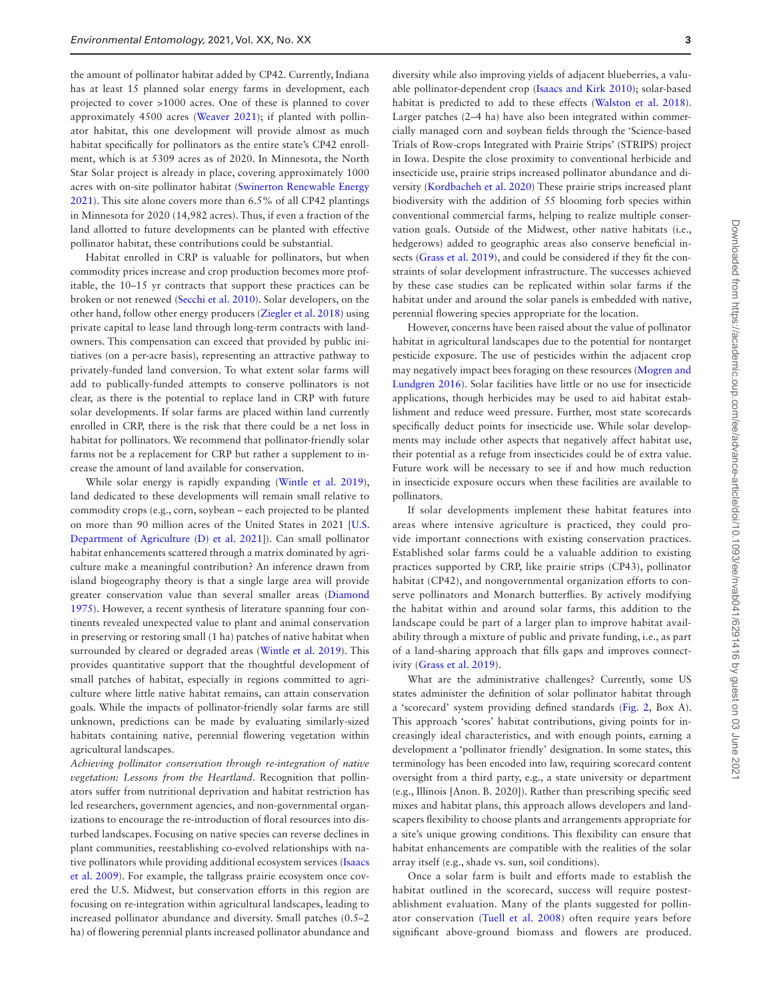the amount of pollinator habitat added by CP42. Currently, Indiana has at least 15 planned solar energy farms in development, each projected to cover >1000 acres. One of these is planned to cover approximately 4500 acres ([Weaver 2021](#page-4-10)); if planted with pollinator habitat, this one development will provide almost as much habitat specifically for pollinators as the entire state's CP42 enrollment, which is at 5309 acres as of 2020. In Minnesota, the North Star Solar project is already in place, covering approximately 1000 acres with on-site pollinator habitat [\(Swinerton Renewable Energy](#page-4-16) [2021\)](#page-4-16). This site alone covers more than 6.5% of all CP42 plantings in Minnesota for 2020 (14,982 acres). Thus, if even a fraction of the land allotted to future developments can be planted with effective pollinator habitat, these contributions could be substantial.

Habitat enrolled in CRP is valuable for pollinators, but when commodity prices increase and crop production becomes more profitable, the 10–15 yr contracts that support these practices can be broken or not renewed [\(Secchi et al. 2010\)](#page-4-17). Solar developers, on the other hand, follow other energy producers ([Ziegler et al. 2018](#page-4-18)) using private capital to lease land through long-term contracts with landowners. This compensation can exceed that provided by public initiatives (on a per-acre basis), representing an attractive pathway to privately-funded land conversion. To what extent solar farms will add to publically-funded attempts to conserve pollinators is not clear, as there is the potential to replace land in CRP with future solar developments. If solar farms are placed within land currently enrolled in CRP, there is the risk that there could be a net loss in habitat for pollinators. We recommend that pollinator-friendly solar farms not be a replacement for CRP but rather a supplement to increase the amount of land available for conservation.

While solar energy is rapidly expanding (Wintle et al. 2019), land dedicated to these developments will remain small relative to commodity crops (e.g., corn, soybean – each projected to be planted on more than 90 million acres of the United States in 2021 [\[U.S.](#page-4-13) [Department of Agriculture \(D\) et al. 2021](#page-4-13)]). Can small pollinator habitat enhancements scattered through a matrix dominated by agriculture make a meaningful contribution? An inference drawn from island biogeography theory is that a single large area will provide greater conservation value than several smaller areas ([Diamond](#page-4-20) [1975\)](#page-4-20). However, a recent synthesis of literature spanning four continents revealed unexpected value to plant and animal conservation in preserving or restoring small (1 ha) patches of native habitat when surrounded by cleared or degraded areas ([Wintle et al. 2019\)](#page-4-19). This provides quantitative support that the thoughtful development of small patches of habitat, especially in regions committed to agriculture where little native habitat remains, can attain conservation goals. While the impacts of pollinator-friendly solar farms are still unknown, predictions can be made by evaluating similarly-sized habitats containing native, perennial flowering vegetation within agricultural landscapes.

*Achieving pollinator conservation through re-integration of native vegetation: Lessons from the Heartland*. Recognition that pollinators suffer from nutritional deprivation and habitat restriction has led researchers, government agencies, and non-governmental organizations to encourage the re-introduction of floral resources into disturbed landscapes. Focusing on native species can reverse declines in plant communities, reestablishing co-evolved relationships with native pollinators while providing additional ecosystem services ([Isaacs](#page-4-21) [et al. 2009\)](#page-4-21). For example, the tallgrass prairie ecosystem once covered the U.S. Midwest, but conservation efforts in this region are focusing on re-integration within agricultural landscapes, leading to increased pollinator abundance and diversity. Small patches (0.5–2 ha) of flowering perennial plants increased pollinator abundance and

diversity while also improving yields of adjacent blueberries, a valuable pollinator-dependent crop ([Isaacs and Kirk 2010\)](#page-4-22); solar-based habitat is predicted to add to these effects ([Walston et al. 2018\)](#page-4-23). Larger patches (2–4 ha) have also been integrated within commercially managed corn and soybean fields through the 'Science-based Trials of Row-crops Integrated with Prairie Strips' (STRIPS) project in Iowa. Despite the close proximity to conventional herbicide and insecticide use, prairie strips increased pollinator abundance and diversity ([Kordbacheh et al. 2020](#page-4-14)) These prairie strips increased plant biodiversity with the addition of 55 blooming forb species within conventional commercial farms, helping to realize multiple conservation goals. Outside of the Midwest, other native habitats (i.e., hedgerows) added to geographic areas also conserve beneficial insects [\(Grass et al. 2019\)](#page-4-24), and could be considered if they fit the constraints of solar development infrastructure. The successes achieved by these case studies can be replicated within solar farms if the habitat under and around the solar panels is embedded with native, perennial flowering species appropriate for the location.

However, concerns have been raised about the value of pollinator habitat in agricultural landscapes due to the potential for nontarget pesticide exposure. The use of pesticides within the adjacent crop may negatively impact bees foraging on these resources ([Mogren and](#page-4-25) [Lundgren 2016\)](#page-4-25). Solar facilities have little or no use for insecticide applications, though herbicides may be used to aid habitat establishment and reduce weed pressure. Further, most state scorecards specifically deduct points for insecticide use. While solar developments may include other aspects that negatively affect habitat use, their potential as a refuge from insecticides could be of extra value. Future work will be necessary to see if and how much reduction in insecticide exposure occurs when these facilities are available to pollinators.

If solar developments implement these habitat features into areas where intensive agriculture is practiced, they could provide important connections with existing conservation practices. Established solar farms could be a valuable addition to existing practices supported by CRP, like prairie strips (CP43), pollinator habitat (CP42), and nongovernmental organization efforts to conserve pollinators and Monarch butterflies. By actively modifying the habitat within and around solar farms, this addition to the landscape could be part of a larger plan to improve habitat availability through a mixture of public and private funding, i.e., as part of a land-sharing approach that fills gaps and improves connectivity ([Grass et al. 2019](#page-4-24)).

What are the administrative challenges? Currently, some US states administer the definition of solar pollinator habitat through a 'scorecard' system providing defined standards [\(Fig. 2,](#page-3-0) Box A). This approach 'scores' habitat contributions, giving points for increasingly ideal characteristics, and with enough points, earning a development a 'pollinator friendly' designation. In some states, this terminology has been encoded into law, requiring scorecard content oversight from a third party, e.g., a state university or department (e.g., Illinois [Anon. B. 2020]). Rather than prescribing specific seed mixes and habitat plans, this approach allows developers and landscapers flexibility to choose plants and arrangements appropriate for a site's unique growing conditions. This flexibility can ensure that habitat enhancements are compatible with the realities of the solar array itself (e.g., shade vs. sun, soil conditions).

Once a solar farm is built and efforts made to establish the habitat outlined in the scorecard, success will require postestablishment evaluation. Many of the plants suggested for pollinator conservation [\(Tuell et al. 2008](#page-4-3)) often require years before significant above-ground biomass and flowers are produced.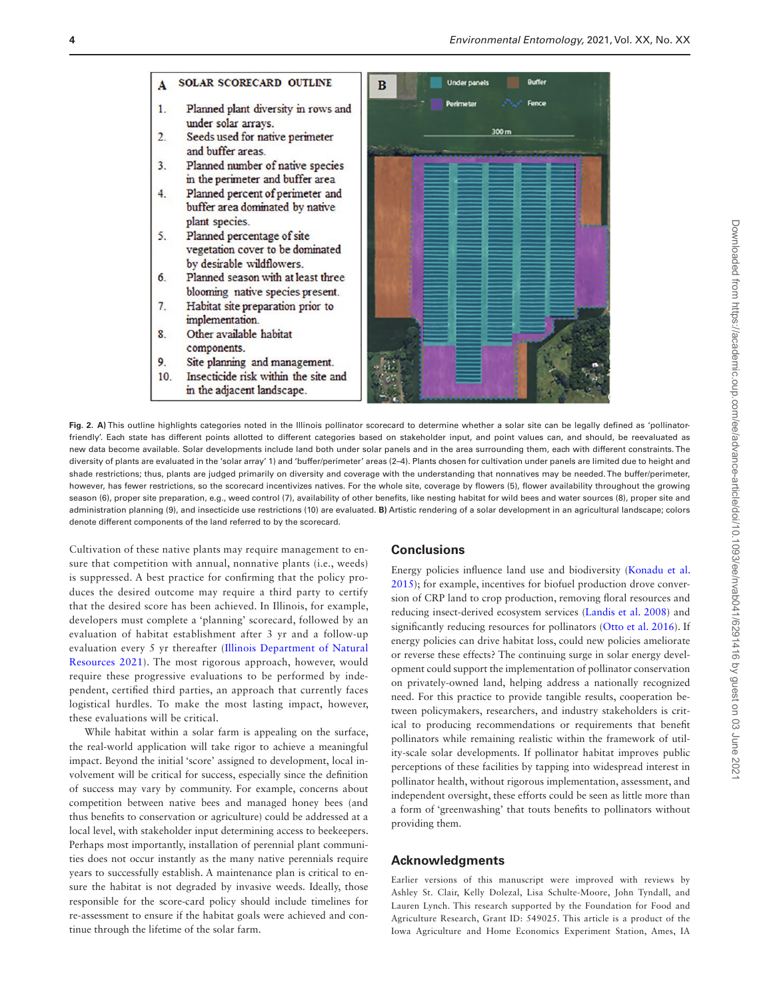

components.

- <span id="page-3-0"></span>9 Site planning and management. 10. Insecticide risk within the site and
	- in the adjacent landscape.



**Fig. 2. A)** This outline highlights categories noted in the Illinois pollinator scorecard to determine whether a solar site can be legally defined as 'pollinatorfriendly'. Each state has different points allotted to different categories based on stakeholder input, and point values can, and should, be reevaluated as new data become available. Solar developments include land both under solar panels and in the area surrounding them, each with different constraints. The diversity of plants are evaluated in the 'solar array' 1) and 'buffer/perimeter' areas (2–4). Plants chosen for cultivation under panels are limited due to height and shade restrictions; thus, plants are judged primarily on diversity and coverage with the understanding that nonnatives may be needed. The buffer/perimeter, however, has fewer restrictions, so the scorecard incentivizes natives. For the whole site, coverage by flowers (5), flower availability throughout the growing season (6), proper site preparation, e.g., weed control (7), availability of other benefits, like nesting habitat for wild bees and water sources (8), proper site and administration planning (9), and insecticide use restrictions (10) are evaluated. **B)** Artistic rendering of a solar development in an agricultural landscape; colors denote different components of the land referred to by the scorecard.

Cultivation of these native plants may require management to ensure that competition with annual, nonnative plants (i.e., weeds) is suppressed. A best practice for confirming that the policy produces the desired outcome may require a third party to certify that the desired score has been achieved. In Illinois, for example, developers must complete a 'planning' scorecard, followed by an evaluation of habitat establishment after 3 yr and a follow-up evaluation every 5 yr thereafter ([Illinois Department of Natural](#page-4-26) [Resources 2021\)](#page-4-26). The most rigorous approach, however, would require these progressive evaluations to be performed by independent, certified third parties, an approach that currently faces logistical hurdles. To make the most lasting impact, however, these evaluations will be critical.

While habitat within a solar farm is appealing on the surface, the real-world application will take rigor to achieve a meaningful impact. Beyond the initial 'score' assigned to development, local involvement will be critical for success, especially since the definition of success may vary by community. For example, concerns about competition between native bees and managed honey bees (and thus benefits to conservation or agriculture) could be addressed at a local level, with stakeholder input determining access to beekeepers. Perhaps most importantly, installation of perennial plant communities does not occur instantly as the many native perennials require years to successfully establish. A maintenance plan is critical to ensure the habitat is not degraded by invasive weeds. Ideally, those responsible for the score-card policy should include timelines for re-assessment to ensure if the habitat goals were achieved and continue through the lifetime of the solar farm.

## **Conclusions**

Energy policies influence land use and biodiversity ([Konadu et al.](#page-4-27) [2015\)](#page-4-27); for example, incentives for biofuel production drove conversion of CRP land to crop production, removing floral resources and reducing insect-derived ecosystem services [\(Landis et al. 2008\)](#page-4-28) and significantly reducing resources for pollinators ([Otto et al. 2016\)](#page-4-8). If energy policies can drive habitat loss, could new policies ameliorate or reverse these effects? The continuing surge in solar energy development could support the implementation of pollinator conservation on privately-owned land, helping address a nationally recognized need. For this practice to provide tangible results, cooperation between policymakers, researchers, and industry stakeholders is critical to producing recommendations or requirements that benefit pollinators while remaining realistic within the framework of utility-scale solar developments. If pollinator habitat improves public perceptions of these facilities by tapping into widespread interest in pollinator health, without rigorous implementation, assessment, and independent oversight, these efforts could be seen as little more than a form of 'greenwashing' that touts benefits to pollinators without providing them.

### **Acknowledgments**

Earlier versions of this manuscript were improved with reviews by Ashley St. Clair, Kelly Dolezal, Lisa Schulte-Moore, John Tyndall, and Lauren Lynch. This research supported by the Foundation for Food and Agriculture Research, Grant ID: 549025. This article is a product of the Iowa Agriculture and Home Economics Experiment Station, Ames, IA